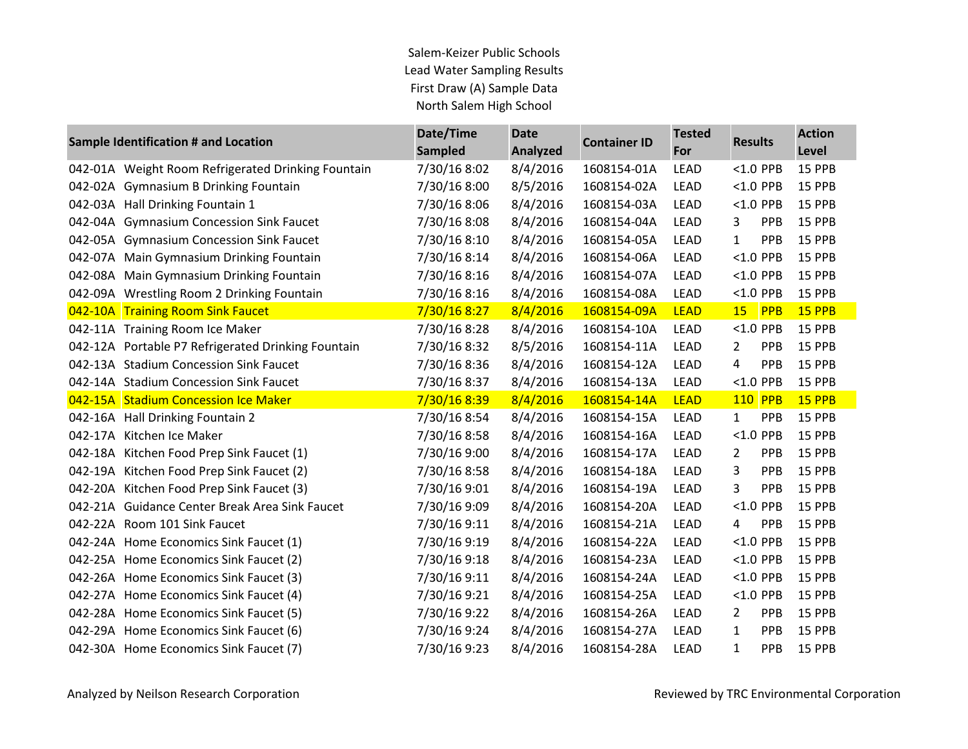| Sample Identification # and Location               | Date/Time      | <b>Date</b> | <b>Container ID</b> | <b>Tested</b> | <b>Results</b>             | <b>Action</b> |
|----------------------------------------------------|----------------|-------------|---------------------|---------------|----------------------------|---------------|
|                                                    | <b>Sampled</b> | Analyzed    |                     | For           |                            | Level         |
| 042-01A Weight Room Refrigerated Drinking Fountain | 7/30/16 8:02   | 8/4/2016    | 1608154-01A         | <b>LEAD</b>   | <1.0 PPB                   | 15 PPB        |
| 042-02A Gymnasium B Drinking Fountain              | 7/30/16 8:00   | 8/5/2016    | 1608154-02A         | <b>LEAD</b>   | $< 1.0$ PPB                | 15 PPB        |
| 042-03A Hall Drinking Fountain 1                   | 7/30/16 8:06   | 8/4/2016    | 1608154-03A         | <b>LEAD</b>   | $< 1.0$ PPB                | 15 PPB        |
| 042-04A Gymnasium Concession Sink Faucet           | 7/30/16 8:08   | 8/4/2016    | 1608154-04A         | <b>LEAD</b>   | PPB<br>3                   | 15 PPB        |
| 042-05A Gymnasium Concession Sink Faucet           | 7/30/16 8:10   | 8/4/2016    | 1608154-05A         | <b>LEAD</b>   | $\mathbf{1}$<br>PPB        | 15 PPB        |
| 042-07A Main Gymnasium Drinking Fountain           | 7/30/16 8:14   | 8/4/2016    | 1608154-06A         | <b>LEAD</b>   | $<$ 1.0 PPB                | 15 PPB        |
| 042-08A Main Gymnasium Drinking Fountain           | 7/30/16 8:16   | 8/4/2016    | 1608154-07A         | <b>LEAD</b>   | $<$ 1.0 PPB                | 15 PPB        |
| 042-09A Wrestling Room 2 Drinking Fountain         | 7/30/16 8:16   | 8/4/2016    | 1608154-08A         | LEAD          | $<$ 1.0 PPB                | 15 PPB        |
| 042-10A Training Room Sink Faucet                  | 7/30/16 8:27   | 8/4/2016    | 1608154-09A         | <b>LEAD</b>   | 15 <sub>2</sub><br>PPB     | 15 PPB        |
| 042-11A Training Room Ice Maker                    | 7/30/16 8:28   | 8/4/2016    | 1608154-10A         | <b>LEAD</b>   | $<$ 1.0 PPB                | 15 PPB        |
| 042-12A Portable P7 Refrigerated Drinking Fountain | 7/30/16 8:32   | 8/5/2016    | 1608154-11A         | <b>LEAD</b>   | <b>PPB</b><br>2            | 15 PPB        |
| 042-13A Stadium Concession Sink Faucet             | 7/30/16 8:36   | 8/4/2016    | 1608154-12A         | <b>LEAD</b>   | PPB<br>4                   | 15 PPB        |
| 042-14A Stadium Concession Sink Faucet             | 7/30/16 8:37   | 8/4/2016    | 1608154-13A         | <b>LEAD</b>   | $<$ 1.0 PPB                | 15 PPB        |
| 042-15A Stadium Concession Ice Maker               | 7/30/16 8:39   | 8/4/2016    | 1608154-14A         | <b>LEAD</b>   | 110 PPB                    | 15 PPB        |
| 042-16A Hall Drinking Fountain 2                   | 7/30/16 8:54   | 8/4/2016    | 1608154-15A         | <b>LEAD</b>   | PPB<br>$\mathbf{1}$        | 15 PPB        |
| 042-17A Kitchen Ice Maker                          | 7/30/16 8:58   | 8/4/2016    | 1608154-16A         | <b>LEAD</b>   | $< 1.0$ PPB                | 15 PPB        |
| 042-18A Kitchen Food Prep Sink Faucet (1)          | 7/30/16 9:00   | 8/4/2016    | 1608154-17A         | LEAD          | 2<br>PPB                   | 15 PPB        |
| 042-19A Kitchen Food Prep Sink Faucet (2)          | 7/30/16 8:58   | 8/4/2016    | 1608154-18A         | <b>LEAD</b>   | 3<br><b>PPB</b>            | 15 PPB        |
| 042-20A Kitchen Food Prep Sink Faucet (3)          | 7/30/16 9:01   | 8/4/2016    | 1608154-19A         | <b>LEAD</b>   | 3<br>PPB                   | 15 PPB        |
| 042-21A Guidance Center Break Area Sink Faucet     | 7/30/16 9:09   | 8/4/2016    | 1608154-20A         | <b>LEAD</b>   | $< 1.0$ PPB                | 15 PPB        |
| 042-22A Room 101 Sink Faucet                       | 7/30/16 9:11   | 8/4/2016    | 1608154-21A         | <b>LEAD</b>   | PPB<br>4                   | 15 PPB        |
| 042-24A Home Economics Sink Faucet (1)             | 7/30/16 9:19   | 8/4/2016    | 1608154-22A         | LEAD          | $< 1.0$ PPB                | 15 PPB        |
| 042-25A Home Economics Sink Faucet (2)             | 7/30/16 9:18   | 8/4/2016    | 1608154-23A         | <b>LEAD</b>   | $<$ 1.0 PPB                | 15 PPB        |
| 042-26A Home Economics Sink Faucet (3)             | 7/30/16 9:11   | 8/4/2016    | 1608154-24A         | <b>LEAD</b>   | $<$ 1.0 PPB                | 15 PPB        |
| 042-27A Home Economics Sink Faucet (4)             | 7/30/16 9:21   | 8/4/2016    | 1608154-25A         | <b>LEAD</b>   | $< 1.0$ PPB                | 15 PPB        |
| 042-28A Home Economics Sink Faucet (5)             | 7/30/16 9:22   | 8/4/2016    | 1608154-26A         | <b>LEAD</b>   | PPB<br>2                   | 15 PPB        |
| 042-29A Home Economics Sink Faucet (6)             | 7/30/16 9:24   | 8/4/2016    | 1608154-27A         | <b>LEAD</b>   | PPB<br>$\mathbf{1}$        | 15 PPB        |
| 042-30A Home Economics Sink Faucet (7)             | 7/30/16 9:23   | 8/4/2016    | 1608154-28A         | <b>LEAD</b>   | $\mathbf{1}$<br><b>PPB</b> | 15 PPB        |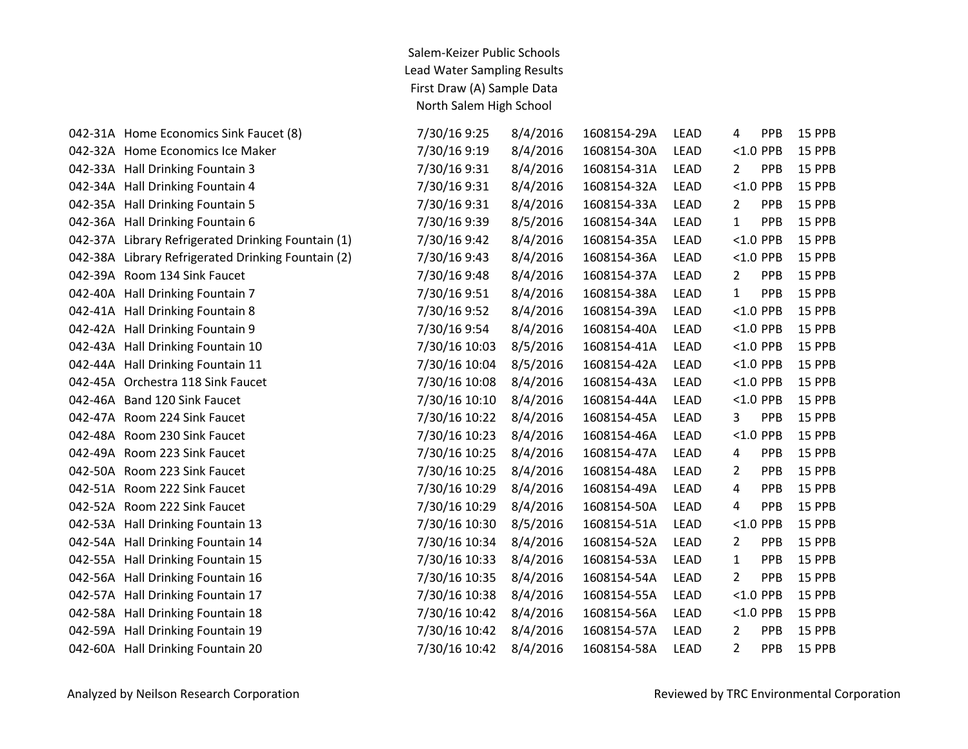| 042-31A Home Economics Sink Faucet (8)             | 7/30/16 9:25  | 8/4/2016 | 1608154-29A | LEAD        | 4              | PPB         | 15 PPB |
|----------------------------------------------------|---------------|----------|-------------|-------------|----------------|-------------|--------|
| 042-32A Home Economics Ice Maker                   | 7/30/16 9:19  | 8/4/2016 | 1608154-30A | LEAD        |                | $< 1.0$ PPB | 15 PPB |
| 042-33A Hall Drinking Fountain 3                   | 7/30/16 9:31  | 8/4/2016 | 1608154-31A | LEAD        | $\overline{2}$ | PPB         | 15 PPB |
| 042-34A Hall Drinking Fountain 4                   | 7/30/16 9:31  | 8/4/2016 | 1608154-32A | LEAD        |                | <1.0 PPB    | 15 PPB |
| 042-35A Hall Drinking Fountain 5                   | 7/30/16 9:31  | 8/4/2016 | 1608154-33A | LEAD        | $\overline{2}$ | PPB         | 15 PPB |
| 042-36A Hall Drinking Fountain 6                   | 7/30/16 9:39  | 8/5/2016 | 1608154-34A | LEAD        | $\mathbf{1}$   | PPB         | 15 PPB |
| 042-37A Library Refrigerated Drinking Fountain (1) | 7/30/16 9:42  | 8/4/2016 | 1608154-35A | LEAD        |                | $<$ 1.0 PPB | 15 PPB |
| 042-38A Library Refrigerated Drinking Fountain (2) | 7/30/16 9:43  | 8/4/2016 | 1608154-36A | LEAD        |                | $<$ 1.0 PPB | 15 PPB |
| 042-39A Room 134 Sink Faucet                       | 7/30/16 9:48  | 8/4/2016 | 1608154-37A | LEAD        | $\overline{2}$ | PPB         | 15 PPB |
| 042-40A Hall Drinking Fountain 7                   | 7/30/16 9:51  | 8/4/2016 | 1608154-38A | LEAD        | $\mathbf{1}$   | PPB         | 15 PPB |
| 042-41A Hall Drinking Fountain 8                   | 7/30/16 9:52  | 8/4/2016 | 1608154-39A | LEAD        |                | $<$ 1.0 PPB | 15 PPB |
| 042-42A Hall Drinking Fountain 9                   | 7/30/16 9:54  | 8/4/2016 | 1608154-40A | LEAD        |                | <1.0 PPB    | 15 PPB |
| 042-43A Hall Drinking Fountain 10                  | 7/30/16 10:03 | 8/5/2016 | 1608154-41A | LEAD        |                | $< 1.0$ PPB | 15 PPB |
| 042-44A Hall Drinking Fountain 11                  | 7/30/16 10:04 | 8/5/2016 | 1608154-42A | LEAD        |                | $<$ 1.0 PPB | 15 PPB |
| 042-45A Orchestra 118 Sink Faucet                  | 7/30/16 10:08 | 8/4/2016 | 1608154-43A | LEAD        |                | $<$ 1.0 PPB | 15 PPB |
| 042-46A Band 120 Sink Faucet                       | 7/30/16 10:10 | 8/4/2016 | 1608154-44A | LEAD        |                | <1.0 PPB    | 15 PPB |
| 042-47A Room 224 Sink Faucet                       | 7/30/16 10:22 | 8/4/2016 | 1608154-45A | LEAD        | 3              | PPB         | 15 PPB |
| 042-48A Room 230 Sink Faucet                       | 7/30/16 10:23 | 8/4/2016 | 1608154-46A | LEAD        |                | $<$ 1.0 PPB | 15 PPB |
| 042-49A Room 223 Sink Faucet                       | 7/30/16 10:25 | 8/4/2016 | 1608154-47A | LEAD        | 4              | PPB         | 15 PPB |
| 042-50A Room 223 Sink Faucet                       | 7/30/16 10:25 | 8/4/2016 | 1608154-48A | LEAD        | $\overline{2}$ | PPB         | 15 PPB |
| 042-51A Room 222 Sink Faucet                       | 7/30/16 10:29 | 8/4/2016 | 1608154-49A | LEAD        | 4              | PPB         | 15 PPB |
| 042-52A Room 222 Sink Faucet                       | 7/30/16 10:29 | 8/4/2016 | 1608154-50A | LEAD        | $\overline{4}$ | PPB         | 15 PPB |
| 042-53A Hall Drinking Fountain 13                  | 7/30/16 10:30 | 8/5/2016 | 1608154-51A | LEAD        |                | <1.0 PPB    | 15 PPB |
| 042-54A Hall Drinking Fountain 14                  | 7/30/16 10:34 | 8/4/2016 | 1608154-52A | LEAD        | $\overline{2}$ | PPB         | 15 PPB |
| 042-55A Hall Drinking Fountain 15                  | 7/30/16 10:33 | 8/4/2016 | 1608154-53A | LEAD        | 1              | PPB         | 15 PPB |
| 042-56A Hall Drinking Fountain 16                  | 7/30/16 10:35 | 8/4/2016 | 1608154-54A | LEAD        | 2              | PPB         | 15 PPB |
| 042-57A Hall Drinking Fountain 17                  | 7/30/16 10:38 | 8/4/2016 | 1608154-55A | LEAD        |                | <1.0 PPB    | 15 PPB |
| 042-58A Hall Drinking Fountain 18                  | 7/30/16 10:42 | 8/4/2016 | 1608154-56A | LEAD        |                | $<$ 1.0 PPB | 15 PPB |
| 042-59A Hall Drinking Fountain 19                  | 7/30/16 10:42 | 8/4/2016 | 1608154-57A | LEAD        | 2              | PPB         | 15 PPB |
| 042-60A Hall Drinking Fountain 20                  | 7/30/16 10:42 | 8/4/2016 | 1608154-58A | <b>LEAD</b> | 2              | PPB         | 15 PPB |
|                                                    |               |          |             |             |                |             |        |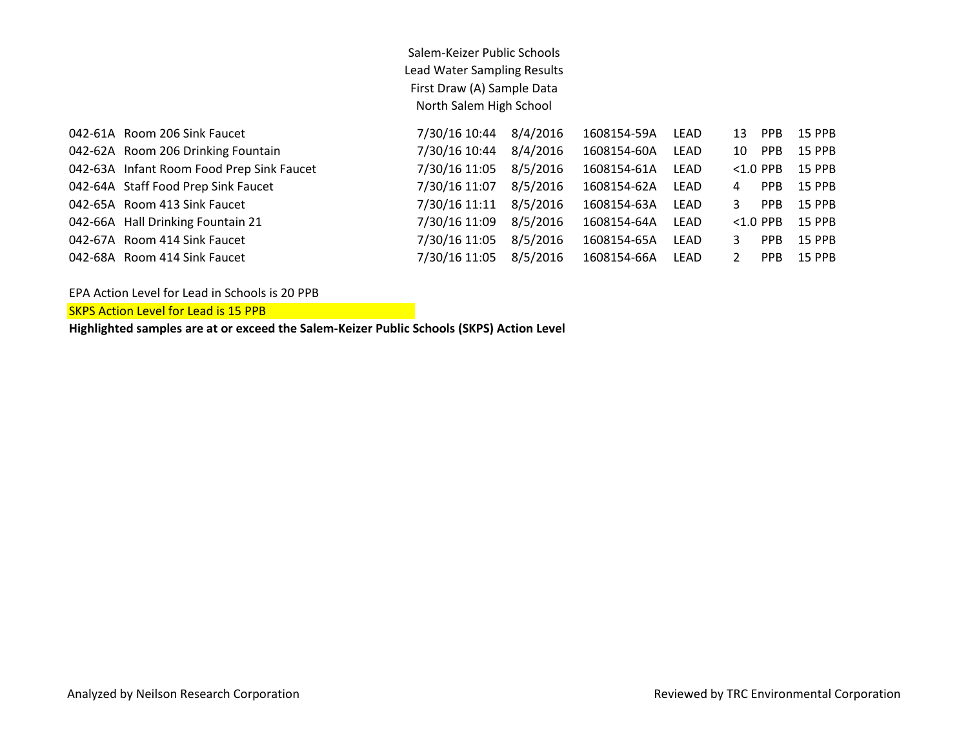| 042-61A Room 206 Sink Faucet              | 7/30/16 10:44 | 8/4/2016 | 1608154-59A | LEAD | 13 | <b>PPB</b>      | 15 PPB        |
|-------------------------------------------|---------------|----------|-------------|------|----|-----------------|---------------|
| 042-62A Room 206 Drinking Fountain        | 7/30/16 10:44 | 8/4/2016 | 1608154-60A | LEAD | 10 | PPB             | 15 PPB        |
| 042-63A Infant Room Food Prep Sink Faucet | 7/30/16 11:05 | 8/5/2016 | 1608154-61A | LEAD |    | $< 1.0$ PPB     | 15 PPB        |
| 042-64A Staff Food Prep Sink Faucet       | 7/30/16 11:07 | 8/5/2016 | 1608154-62A | LEAD | 4  | <b>PPB</b>      | <b>15 PPB</b> |
| 042-65A Room 413 Sink Faucet              | 7/30/16 11:11 | 8/5/2016 | 1608154-63A | LEAD | 3  | PP <sub>B</sub> | 15 PPB        |
| 042-66A Hall Drinking Fountain 21         | 7/30/16 11:09 | 8/5/2016 | 1608154-64A | LEAD |    | $< 1.0$ PPB     | 15 PPB        |
| 042-67A Room 414 Sink Faucet              | 7/30/16 11:05 | 8/5/2016 | 1608154-65A | LEAD | 3  | PP <sub>B</sub> | 15 PPB        |
| 042-68A Room 414 Sink Faucet              | 7/30/16 11:05 | 8/5/2016 | 1608154-66A | LEAD |    | PP <sub>B</sub> | 15 PPB        |

EPA Action Level for Lead in Schools is 20 PPB

**SKPS Action Level for Lead is 15 PPB**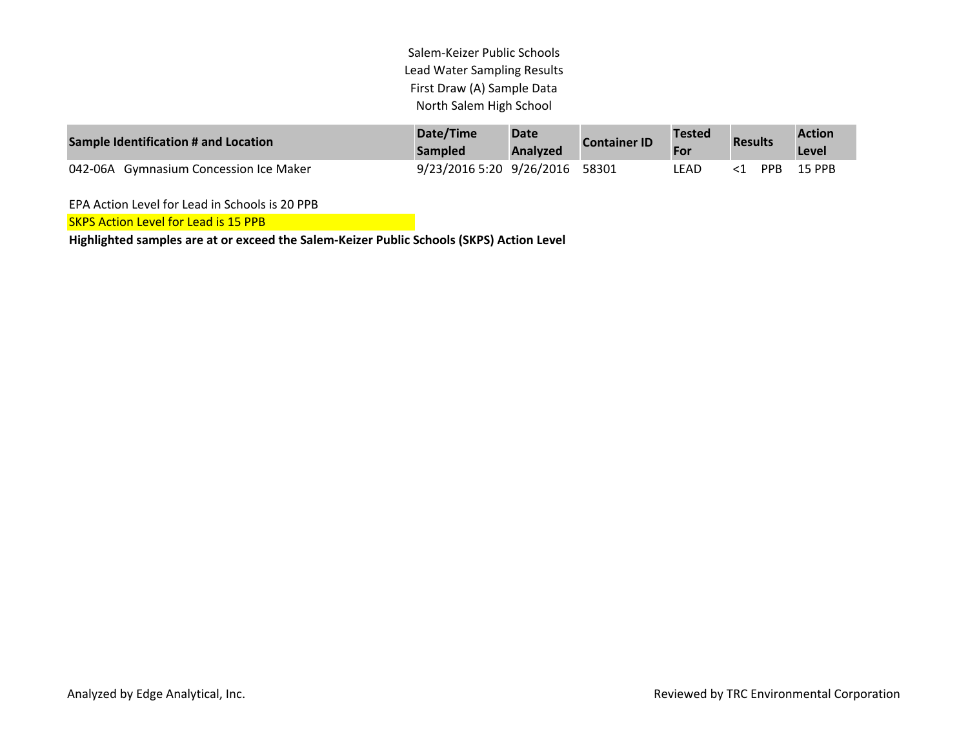| Sample Identification # and Location   | Date/Time                | <b>Date</b>     | <b>Container ID</b> | <b>Tested</b> |                                          |       | <b>Action</b> |
|----------------------------------------|--------------------------|-----------------|---------------------|---------------|------------------------------------------|-------|---------------|
|                                        | Sampled                  | <b>Analyzed</b> |                     | For           | <b>Results</b><br><b>PPR</b><br>$\leq$ 1 | Level |               |
| 042-06A Gymnasium Concession Ice Maker | 9/23/2016 5:20 9/26/2016 |                 | 58301               | LEAD          |                                          |       | 15 PPB        |

EPA Action Level for Lead in Schools is 20 PPB

SKPS Action Level for Lead is 15 PPB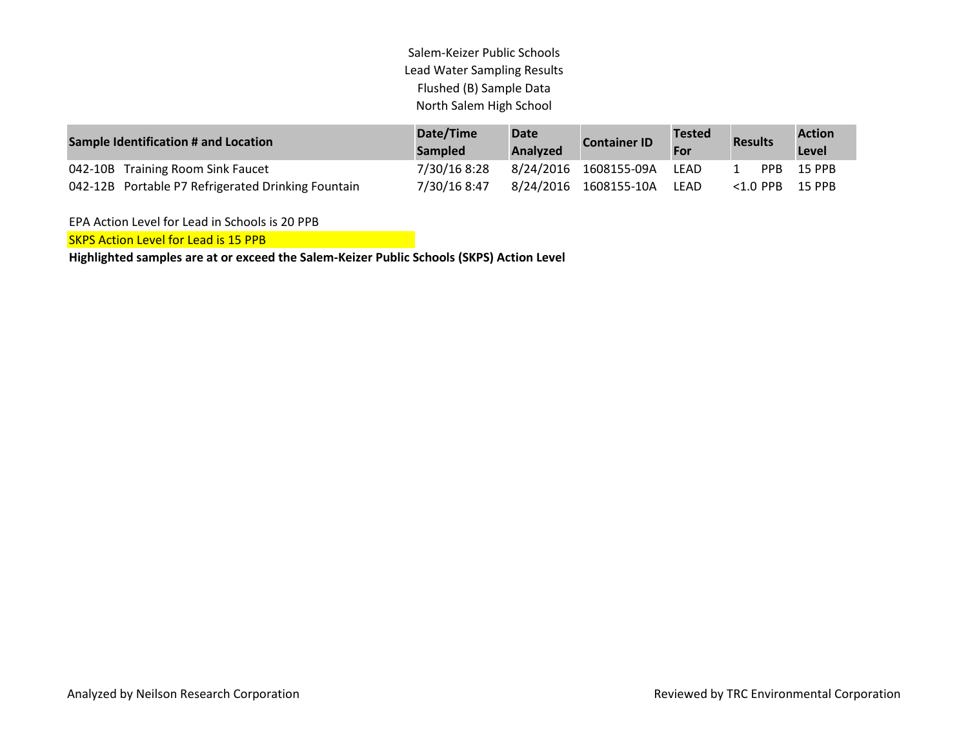| <b>Sample Identification # and Location</b>        | Date/Time<br><b>Sampled</b> | <b>Date</b><br>Analyzed | <b>Container ID</b>   | <b>Tested</b><br>For | <b>Results</b> |             | <b>Action</b><br>Level |
|----------------------------------------------------|-----------------------------|-------------------------|-----------------------|----------------------|----------------|-------------|------------------------|
| 042-10B Training Room Sink Faucet                  | 7/30/16 8:28                |                         | 8/24/2016 1608155-09A | LFAD                 |                | <b>PPR</b>  | 15 PPB                 |
| 042-12B Portable P7 Refrigerated Drinking Fountain | 7/30/16 8:47                |                         | 8/24/2016 1608155-10A | LEAD                 |                | $<$ 1.0 PPB | 15 PPB                 |

EPA Action Level for Lead in Schools is 20 PPB

SKPS Action Level for Lead is 15 PPB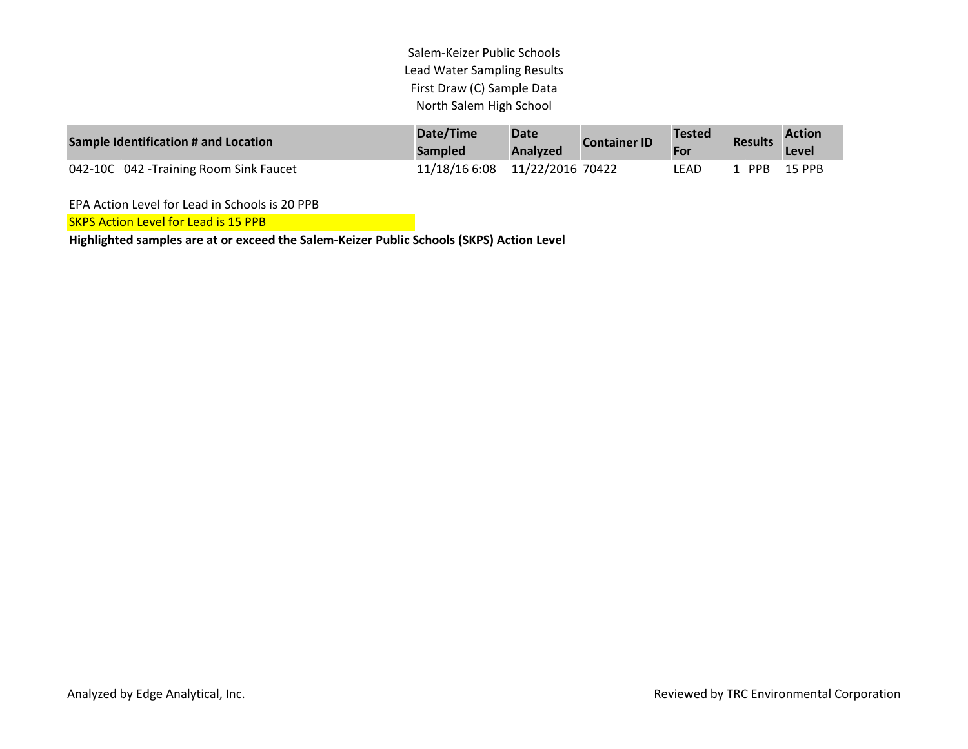| Sample Identification # and Location   | Date/Time<br><b>Sampled</b> | <b>Date</b><br><b>Analyzed</b> | <b>Container ID</b> | <b>Tested</b><br>For | <b>Results</b> | <b>Action</b><br><b>Level</b> |
|----------------------------------------|-----------------------------|--------------------------------|---------------------|----------------------|----------------|-------------------------------|
| 042-10C 042 -Training Room Sink Faucet | 11/18/16 6:08               | 11/22/2016 70422               |                     | LEAD                 | PPR            | 15 PPB                        |

EPA Action Level for Lead in Schools is 20 PPB

**SKPS Action Level for Lead is 15 PPB**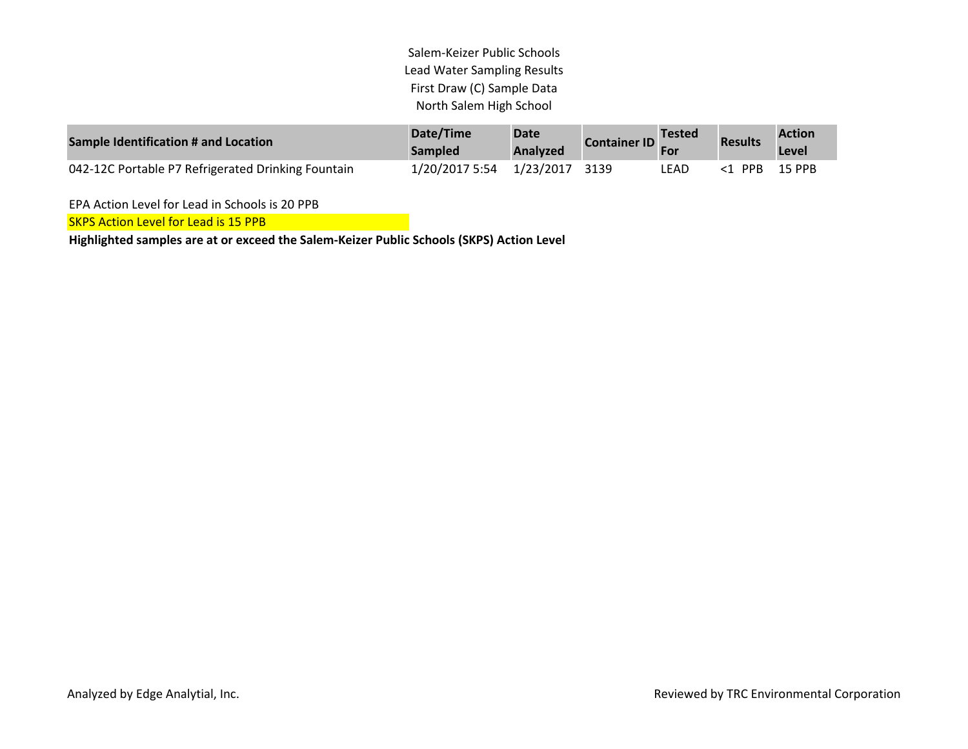| Sample Identification # and Location               | Date/Time<br><b>Sampled</b>   | <b>Date</b><br>Analyzed | Container ID Tested |       | <b>Results</b> | <b>Action</b><br>Level |
|----------------------------------------------------|-------------------------------|-------------------------|---------------------|-------|----------------|------------------------|
| 042-12C Portable P7 Refrigerated Drinking Fountain | 1/20/2017 5:54 1/23/2017 3139 |                         |                     | LEAD. | <1 PPB         | 15 PPB                 |

EPA Action Level for Lead in Schools is 20 PPB

**SKPS Action Level for Lead is 15 PPB**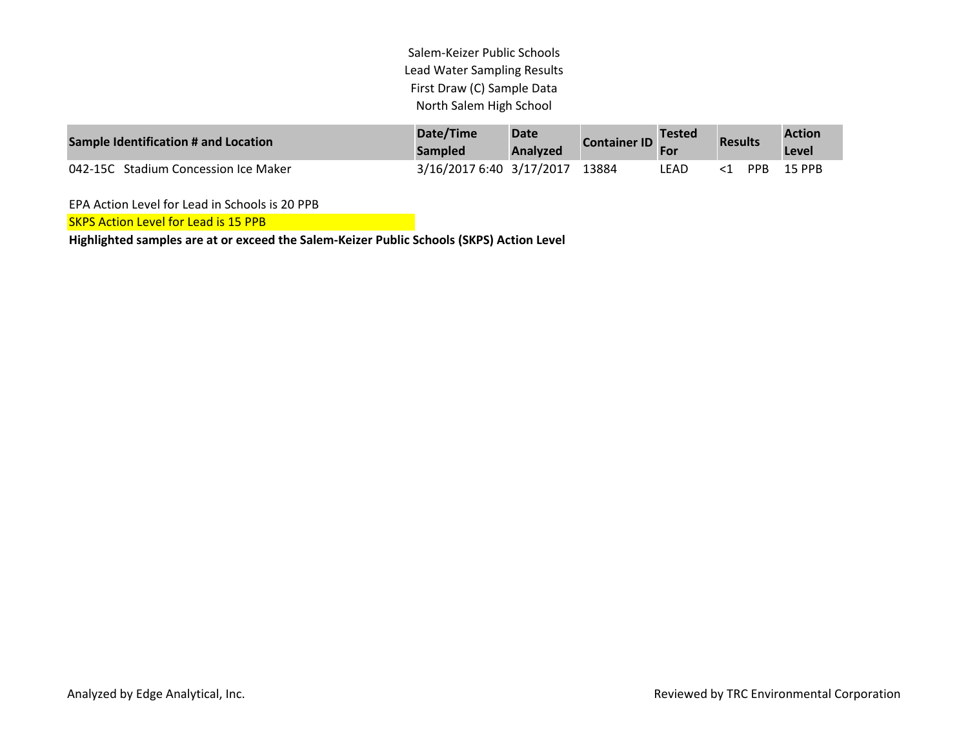| Sample Identification # and Location | Date/Time<br><b>Sampled</b>    | <b>Date</b><br>Analyzed | <b>Container ID</b> Tested |      | <b>Results</b> | <b>Action</b><br>Level |
|--------------------------------------|--------------------------------|-------------------------|----------------------------|------|----------------|------------------------|
| 042-15C Stadium Concession Ice Maker | 3/16/2017 6:40 3/17/2017 13884 |                         |                            | LEAD | PPB            | 15 PPB                 |

EPA Action Level for Lead in Schools is 20 PPB

**SKPS Action Level for Lead is 15 PPB**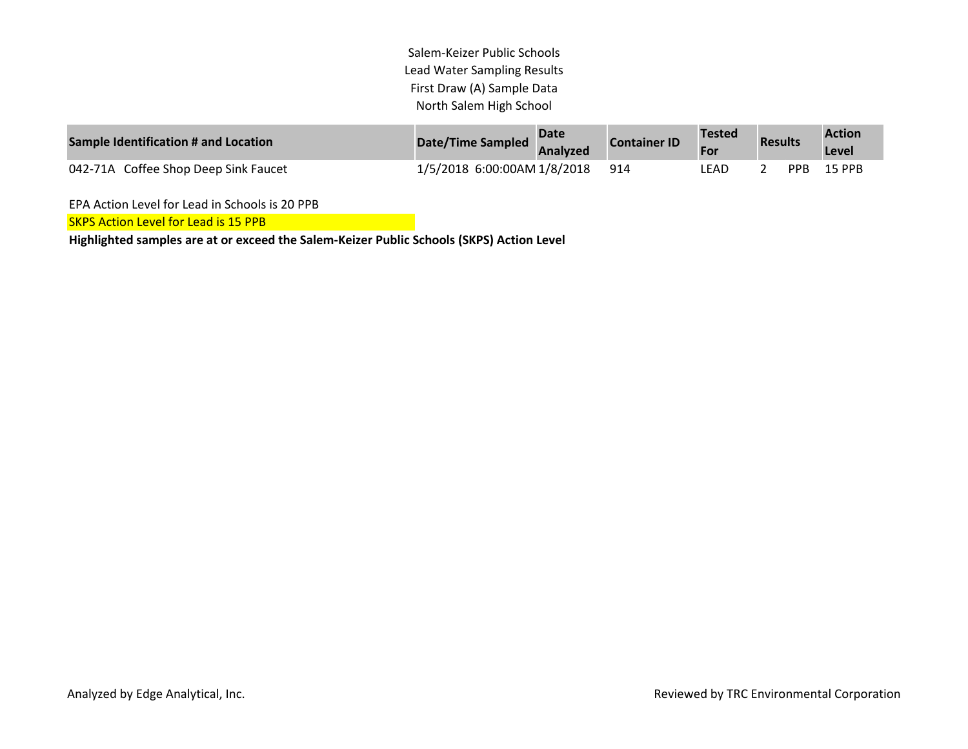| Sample Identification # and Location | Date/Time Sampled               | <b>Date</b><br>Analyzed | <b>Container ID</b> | Tested | <b>Results</b> |      | <b>Action</b><br>Level |
|--------------------------------------|---------------------------------|-------------------------|---------------------|--------|----------------|------|------------------------|
| 042-71A Coffee Shop Deep Sink Faucet | 1/5/2018 6:00:00AM 1/8/2018 914 |                         |                     | LEAD   |                | PPB. | 15 PPB                 |

EPA Action Level for Lead in Schools is 20 PPB

**SKPS Action Level for Lead is 15 PPB**